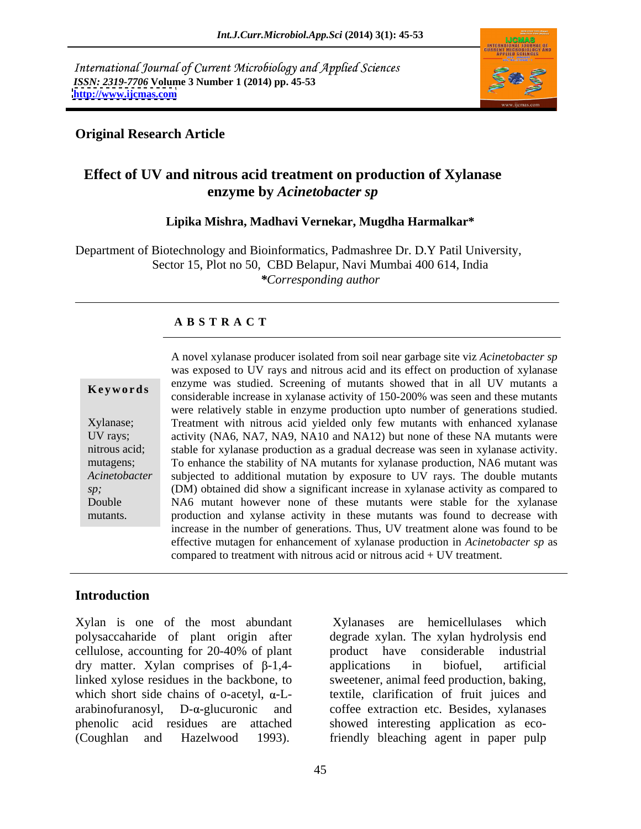International Journal of Current Microbiology and Applied Sciences *ISSN: 2319-7706* **Volume 3 Number 1 (2014) pp. 45-53 <http://www.ijcmas.com>**



### **Original Research Article**

# **Effect of UV and nitrous acid treatment on production of Xylanase enzyme by** *Acinetobacter sp*

### **Lipika Mishra, Madhavi Vernekar, Mugdha Harmalkar\***

Department of Biotechnology and Bioinformatics, Padmashree Dr. D.Y Patil University, Sector 15, Plot no 50, CBD Belapur, Navi Mumbai 400 614, India *\*Corresponding author*

### **A B S T R A C T**

**Keywords**<br>
considerable increase in xylanase activity of 150-200% was seen and these mutants Xylanase; Treatment with nitrous acid yielded only few mutants with enhanced xylanase UV rays; activity (NA6, NA7, NA9, NA10 and NA12) but none of these NA mutants were nitrous acid; stable for xylanase production as a gradual decrease was seen in xylanase activity. mutagens; To enhance the stability of NA mutants for xylanase production, NA6 mutant was *Acinetobacter*  subjected to additional mutation by exposure to UV rays. The double mutants *sp*; **CDM**) obtained did show a significant increase in xylanase activity as compared to Double NA6 mutant however none of these mutants were stable for the xylanase mutants. production and xylanse activity in these mutants was found to decrease with A novel xylanase producer isolated from soil near garbage site viz *Acinetobacter sp* was exposed to UV rays and nitrous acid and its effect on production of xylanase enzyme was studied. Screening of mutants showed that in all UV mutants a were relatively stable in enzyme production upto number of generations studied. increase in the number of generations. Thus, UV treatment alone was found to be effective mutagen for enhancement of xylanase production in *Acinetobacter sp* as compared to treatment with nitrous acid or nitrous acid + UV treatment.

### **Introduction**

Xylan is one of the most abundant Xylanases are hemicellulases which polysaccaharide of plant origin after degrade xylan. The xylan hydrolysis end cellulose, accounting for 20-40% of plant dry matter. Xylan comprises of  $\beta$ -1,4- applications in biofuel, artificial linked xylose residues in the backbone, to sweetener, animal feed production, baking, which short side chains of o-acetyl,  $\alpha$ -L- textile, clarification of fruit juices and arabinofuranosyl, D-a-glucuronic and coffee extraction etc. Besides, xylanases phenolic acid residues are attached showed interesting application as eco-

(Coughlan and Hazelwood 1993). friendly bleaching agent in paper pulp Xylanases are hemicellulases which product have considerable industrial applications in biofuel, artificial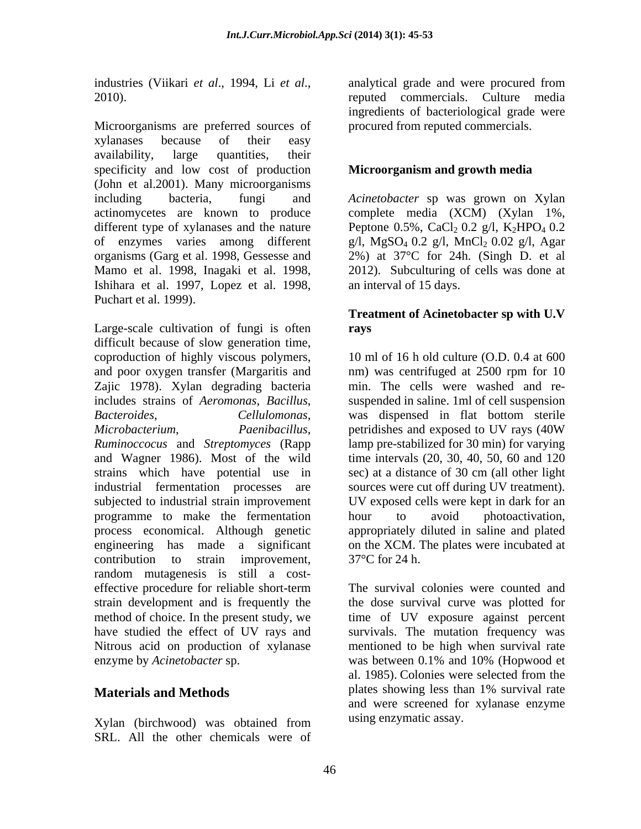Microorganisms are preferred sources of xylanases because of their easy availability, large quantities, their specificity and low cost of production **Microorganism and growth media** (John et al.2001). Many microorganisms including bacteria, fungi and *Acinetobacter* sp was grown on Xylan actinomycetes are known to produce complete media (XCM) (Xylan 1%, different type of xylanases and the nature Peptone 0.5%, CaCl<sub>2</sub> 0.2 g/l, K<sub>2</sub>HPO<sub>4</sub> 0.2 of enzymes varies among different g/l, MgSO<sub>4</sub> 0.2 g/l, MnCl<sub>2</sub> 0.02 g/l, Agar organisms (Garg et al. 1998, Gessesse and 2%) at 37°C for 24h. (Singh D. et al Mamo et al. 1998, Inagaki et al. 1998, 2012). Subculturing of cells was done at Ishihara et al. 1997, Lopez et al. 1998, an interval of 15 days.<br>Puchart et al. 1999).

Large-scale cultivation of fungi is often rays difficult because of slow generation time, coproduction of highly viscous polymers, and poor oxygen transfer (Margaritis and nm) was centrifuged at 2500 rpm for 10 Zajic 1978). Xylan degrading bacteria min. The cells were washed and re includes strains of *Aeromonas*, *Bacillus*, suspended in saline. 1ml of cell suspension *Bacteroides*, *Cellulomonas*, *Microbacterium*, *Paenibacillus*, *Ruminoccocus* and *Streptomyces* (Rapp lamp pre-stabilized for 30 min) for varying and Wagner 1986). Most of the wild strains which have potential use in sec) at a distance of 30 cm (all other light industrial fermentation processes are sources were cut off during UV treatment). subjected to industrial strain improvement UV exposed cells were kept in dark for an programme to make the fermentation bour to avoid photoactivation, process economical. Although genetic engineering has made a significant on the XCM. The plates were incubated at contribution to strain improvement,  $37^{\circ}$ C for 24 h. random mutagenesis is still a cost effective procedure for reliable short-term The survival colonies were counted and strain development and is frequently the the dose survival curve was plotted for method of choice. In the present study, we time of UV exposure against percent have studied the effect of UV rays and survivals. The mutation frequency was Nitrous acid on production of xylanase mentioned to be high when survival rate enzyme by *Acinetobacter* sp.  $\mu$  was between 0.1% and 10% (Hopwood et

Xylan (birchwood) was obtained from using enzymanc assay. SRL. All the other chemicals were of

industries (Viikari *et al*., 1994, Li *et al*., 2010). reputed commercials. Culture media analytical grade and were procured from ingredients of bacteriological grade were procured from reputed commercials.

## **Microorganism and growth media**

2012). Subculturing of cells was done at an interval of 15 days.

## **Treatment of Acinetobacter sp with U.V rays**

10 ml of 16 h old culture (O.D. 0.4 at 600 was dispensed in flat bottom sterile petridishes and exposed to UV rays (40W time intervals (20, 30, 40, 50, 60 and 120 hour to avoid photoactivation,<br>appropriately diluted in saline and plated  $37^{\circ}$ C for 24 h.

**Materials and Methods** plates showing less than 1% survival rate was between 0.1% and 10% (Hopwood et al. 1985). Colonies were selected from the and were screened for xylanase enzyme using enzymatic assay.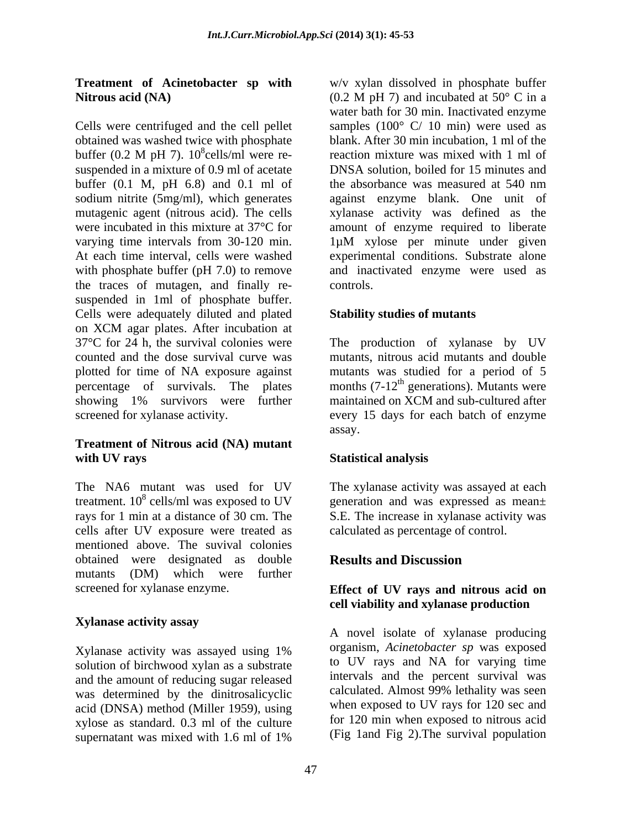Cells were centrifuged and the cell pellet samples (100° C/ 10 min) were used as obtained was washed twice with phosphate buffer (0.2 M pH 7).  $10^8$ cells/ml were re-<br>reaction mixture was mixed with 1 ml of suspended in a mixture of 0.9 ml of acetate DNSA solution, boiled for 15 minutes and buffer (0.1 M, pH 6.8) and 0.1 ml of the absorbance was measured at 540 nm sodium nitrite (5mg/ml), which generates against enzyme blank. One unit of mutagenic agent (nitrous acid). The cells xylanase activity was defined as the were incubated in this mixture at 37°C for amount of enzyme required to liberate varying time intervals from 30-120 min. 1µM xylose per minute under given At each time interval, cells were washed experimental conditions. Substrate alone with phosphate buffer (pH 7.0) to remove and inactivated enzyme were used as the traces of mutagen, and finally re suspended in 1ml of phosphate buffer.<br>Cells were adequately diluted and plated **Stability studies of mutants** on XCM agar plates. After incubation at 37°C for 24 h, the survival colonies were The production of xylanase by UV counted and the dose survival curve was mutants, nitrous acid mutants and double plotted for time of NA exposure against mutants was studied for a period of 5 percentage of survivals. The plates months  $(7-12<sup>th</sup>$  generations). Mutants were showing 1% survivors were further maintained on XCM and sub-cultured after screened for xylanase activity. every 15 days for each batch of enzyme

### **Treatment of Nitrous acid (NA) mutant with UV rays**

The NA6 mutant was used for UV The xylanase activity was assayed at each treatment.  $10^8$  cells/ml was exposed to UV seneration and was expressed as mean $\pm$ rays for 1 min at a distance of 30 cm. The S.E. The increase in xylanase activity was cells after UV exposure were treated as mentioned above. The suvival colonies obtained were designated as double mutants (DM) which were further

# **Xylanase activity assay**

solution of birchwood xylan as a substrate and the amount of reducing sugar released<br>was determined by the dinitrosalic value calculated. Almost 99% lethality was seen was determined by the dinitrosalicyclic acid (DNSA) method (Miller 1959), using xylose as standard. 0.3 ml of the culture supernatant was mixed with 1.6 ml of 1% (Fig. 1 and Fig. 2). The survival population

**Treatment of Acinetobacter sp with** w/v xylan dissolved in phosphate buffer **Nitrous acid** (NA)  $(0.2 \text{ M pH 7})$  and incubated at 50° C in a cells/ml were re- reaction mixture was mixed with 1 ml of water bath for 30 min. Inactivated enzyme blank. After 30 min incubation, 1 ml of the DNSA solution, boiled for 15 minutes and the absorbance was measured at 540 nm controls.

### **Stability studies of mutants**

maintained on XCM and sub-cultured after assay.

# **Statistical analysis**

calculated as percentage of control.

# **Results and Discussion**

### screened for xylanase enzyme. **Effect of UV rays and nitrous acid on cell viability and xylanase production**

Xylanase activity was assayed using 1% organism, Acinetobacter sp was exposed A novel isolate of xylanase producing organism, *Acinetobacter sp* was exposed to UV rays and NA for varying time intervals and the percent survival was calculated. Almost 99% lethality was seen when exposed to UV rays for 120 sec and for 120 min when exposed to nitrous acid (Fig 1and Fig 2).The survival population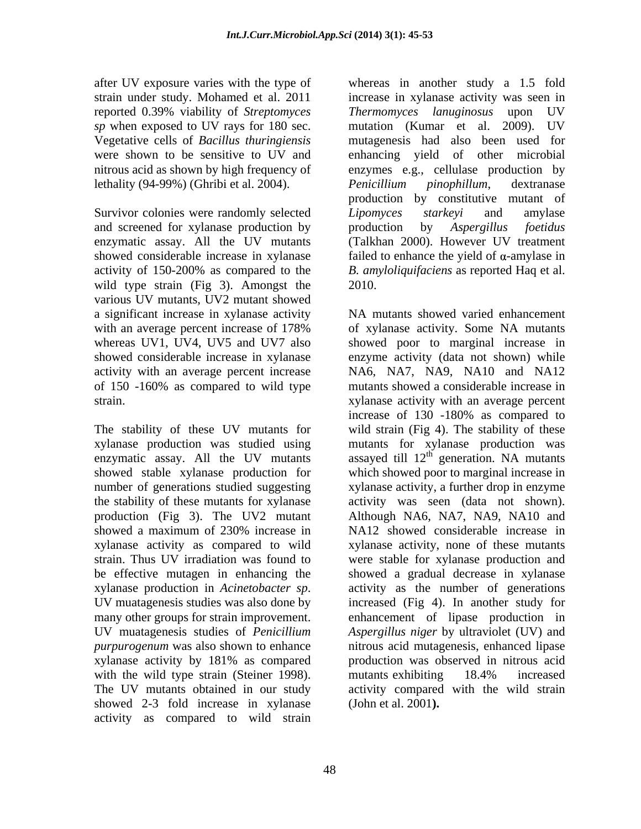after UV exposure varies with the type of whereas in another study a 1.5 fold reported 0.39% viability of *Streptomyces* lethality (94-99%) (Ghribi et al. 2004). *Penicillium pinophillum*, dextranase

Survivor colonies were randomly selected Lipomyces starkeyi and amylase and screened for xylanase production by production by Aspergillus foetidus enzymatic assay. All the UV mutants wild type strain (Fig 3). Amongst the 2010. various UV mutants, UV2 mutant showed a significant increase in xylanase activity activity with an average percent increase

The stability of these UV mutants for xylanase activity as compared to wild xylanase production in *Acinetobacter sp*. with the wild type strain (Steiner 1998). The mutants exhibiting 18.4% increased The UV mutants obtained in our study activity compared with the wild strain showed 2-3 fold increase in xylanase activity as compared to wild strain

strain under study. Mohamed et al. 2011 increase in xylanase activity was seen in *sp* when exposed to UV rays for 180 sec. mutation (Kumar et al. 2009). UV Vegetative cells of *Bacillus thuringiensis* mutagenesis had also been used for were shown to be sensitive to UV and enhancing yield of other microbial nitrous acid as shown by high frequency of enzymes e.g., cellulase production by showed considerable increase in xylanase  $\qquad$  failed to enhance the yield of  $\alpha$ -amylase in activity of 150-200% as compared to the B. amyloliquifaciens as reported Haq et al. *Thermomyces lanuginosus* upon UV *Penicillium pinophillum*, dextranase production by constitutive mutant of *Lipomyces starkeyi* and amylase production by *Aspergillus foetidus* (Talkhan 2000). However UV treatment *B. amyloliquifaciens* as reported Haq et al. 2010.

with an average percent increase of 178% of xylanase activity. Some NA mutants whereas UV1, UV4, UV5 and UV7 also showed poor to marginal increase in showed considerable increase in xylanase enzyme activity (data not shown) while of 150 -160% as compared to wild type mutants showed a considerable increase in strain. xylanase activity with an average percent xylanase production was studied using mutants for xylanase production was enzymatic assay. All the UV mutants assayed till  $12<sup>th</sup>$  generation. NA mutants showed stable xylanase production for which showed poor to marginal increase in number of generations studied suggesting xylanase activity, a further drop in enzyme the stability of these mutants for xylanase activity was seen (data not shown). production (Fig 3). The UV2 mutant Although NA6, NA7, NA9, NA10 and showed a maximum of 230% increase in NA12 showed considerable increase in strain. Thus UV irradiation was found to were stable for xylanase production and be effective mutagen in enhancing the showed a gradual decrease in xylanase UV muatagenesis studies was also done by increased (Fig 4). In another study for many other groups for strain improvement. enhancement of lipase production in UV muatagenesis studies of *Penicillium Aspergillus niger* by ultraviolet (UV) and *purpurogenum* was also shown to enhance hitrous acid mutagenesis, enhanced lipase xylanase activity by 181% as compared NA mutants showed varied enhancement of xylanase activity. Some NA mutants NA6, NA7, NA9, NA10 and NA12 increase of 130 -180% as compared to wild strain (Fig 4). The stability of these generation. NA mutants NA12 showed considerable increase in xylanase activity, none of these mutants activity as the number of generations production was observed in nitrous acid mutants exhibiting 18.4% increased<br>activity compared with the wild strain (John et al. 2001**).**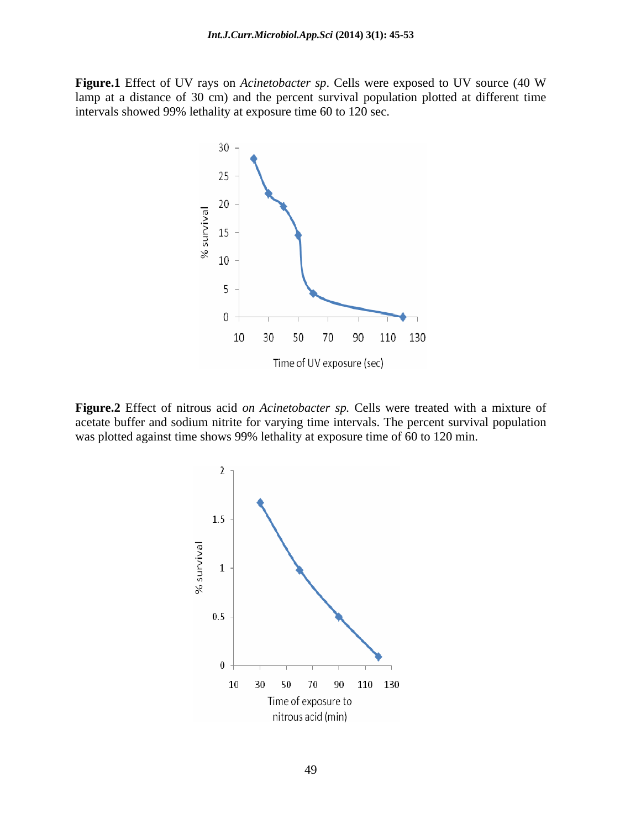**Figure.1** Effect of UV rays on *Acinetobacter sp*. Cells were exposed to UV source (40 W lamp at a distance of 30 cm) and the percent survival population plotted at different time intervals showed 99% lethality at exposure time 60 to 120 sec.



**Figure.2** Effect of nitrous acid *on Acinetobacter sp.* Cells were treated with a mixture of acetate buffer and sodium nitrite for varying time intervals. The percent survival population was plotted against time shows 99% lethality at exposure time of 60 to 120 min.

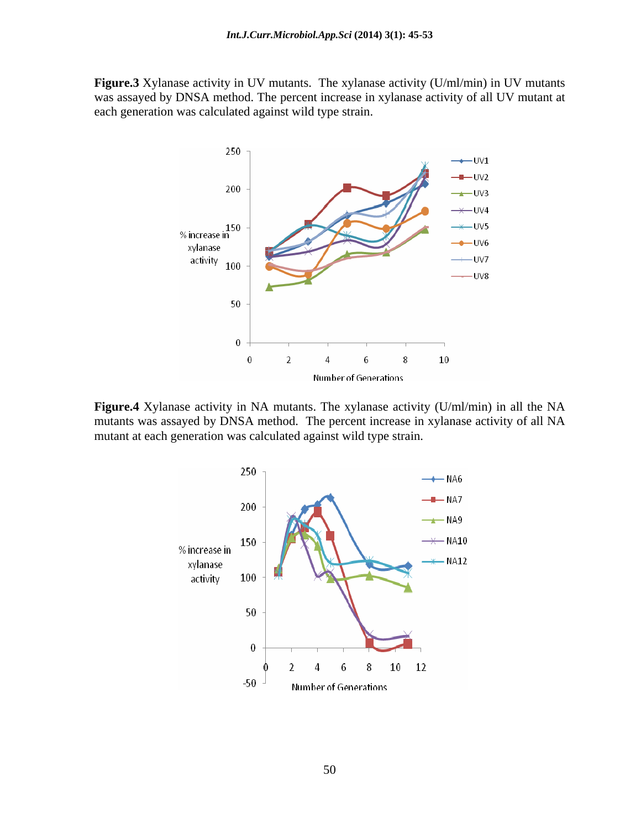**Figure.3** Xylanase activity in UV mutants. The xylanase activity (U/ml/min) in UV mutants was assayed by DNSA method. The percent increase in xylanase activity of all UV mutant at each generation was calculated against wild type strain.



**Figure.4** Xylanase activity in NA mutants. The xylanase activity (U/ml/min) in all the NA mutants was assayed by DNSA method. The percent increase in xylanase activity of all NA mutant at each generation was calculated against wild type strain.

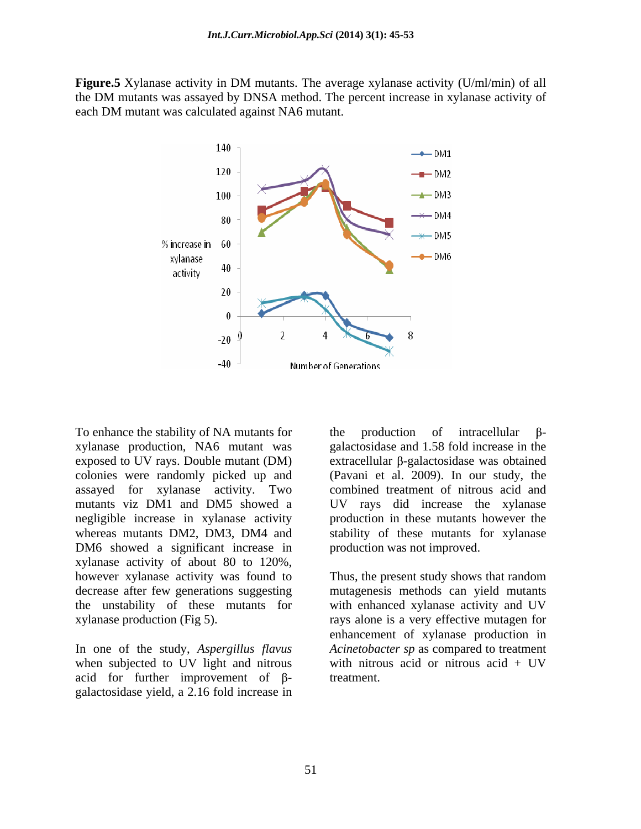**Figure.5** Xylanase activity in DM mutants. The average xylanase activity (U/ml/min) of all the DM mutants was assayed by DNSA method. The percent increase in xylanase activity of each DM mutant was calculated against NA6 mutant.



xylanase production, NA6 mutant was galactosidase and 1.58 fold increase in the exposed to UV rays. Double mutant (DM) colonies were randomly picked up and (Pavani et al. 2009).In our study, the assayed for xylanase activity. Two mutants viz DM1 and DM5 showed a UV rays did increase the xylanase negligible increase in xylanase activity production in these mutants however the whereas mutants DM2, DM3, DM4 and stability of these mutants for xylanase DM6 showed a significant increase in xylanase activity of about 80 to 120%, however xylanase activity was found to Thus, the present study shows that random

when subjected to UV light and nitrous acid for further improvement of  $\beta$ galactosidase yield, a 2.16 fold increase in

To enhance the stability of NA mutants for the production of intracellular  $\beta$ the production of intracellular  $\beta$ extracellular  $\beta$ -galactosidase was obtained combined treatment of nitrous acid and production was not improved.

decrease after few generations suggesting mutagenesis methods can yield mutants the unstability of these mutants for with enhanced xylanase activity and UV xylanase production (Fig 5). rays alone is a very effective mutagen for In one of the study, *Aspergillus flavus Acinetobacter sp* as compared to treatment when subjected to UV light and nitrous with nitrous acid or nitrous acid + UV enhancement of xylanase production in *Acinetobacter sp* as compared to treatment with nitrous acid or nitrous acid + UV treatment.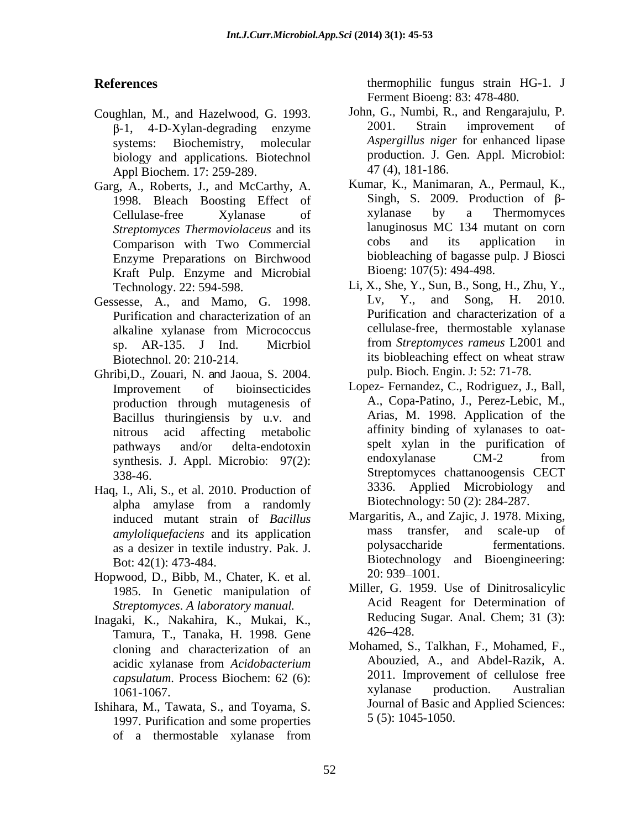- biology and applications*.* Biotechnol Appl Biochem. 17: 259-289.
- Garg, A., Roberts, J., and McCarthy, A. Comparison with Two Commercial Enzyme Preparations on Birchwood Kraft Pulp. Enzyme and Microbial
- Purification and characterization of an
- Ghribi,D., Zouari, N. and Jaoua, S. 2004. production through mutagenesis of Bacillus thuringiensis by u.v. and
- alpha amylase from a randomly Biotechnology: 50 (2): 284-287. as a desizer in textile industry. Pak. J.
- Hopwood, D., Bibb, M., Chater, K. et al.  $20: 939-1001$ .<br>1985. In Genetic manipulation of Miller, G. 1959. Use of Dinitrosalicylic *Streptomyces*. *A laboratory manual.*
- Inagaki, K., Nakahira, K., Mukai, K., Reducing<br>
Tamura T. Tanaka H. 1998 Gene 426–428. Tamura, T., Tanaka, H. 1998. Gene cloning and characterization of an
- Ishihara, M., Tawata, S., and Toyama, S. 1997. Purification and some properties of a thermostable xylanase from

**References** thermophilic fungus strain HG-1. J Ferment Bioeng: 83: 478-480.

- Coughlan, M., and Hazelwood, G. 1993. John, G., Numbi, R., and Rengarajulu, P.  $\beta$ -1, 4-D-Xylan-degrading enzyme 2001. Strain improvement of systems: Biochemistry, molecular *Aspergillus niger* for enhanced lipase John, G., Numbi, R., and Rengarajulu, P. 2001. Strain improvement of production. J. Gen. Appl. Microbiol: 47 (4), 181-186.
	- 1998. Bleach Boosting Effect of Singh, S. 2009. Production of  $\beta$ -<br>Cellulase-free Xylanase of Xylanase by a Thermomyces Cellulase-free Xylanase of *Streptomyces Thermoviolaceus* and its lanuginosus MC 134 mutant on corn<br>Comparison with Two Commercial cobs and its application in Kumar, K., Manimaran, A., Permaul, K., Singh, S. 2009. Production of  $\beta$ xylanase by a Thermomyces lanuginosus MC 134 mutant on corn cobs and its application in biobleaching of bagasse pulp. J Biosci Bioeng: 107(5): 494-498.
- Technology. 22: 594-598. Li, X., She, Y., Sun, B., Song, H., Zhu, Y., Gessesse, A., and Mamo, G. 1998. Lv, Y., and Song, H. 2010. alkaline xylanase from Micrococcus sp. AR-135. J Ind. Micrbiol from *Streptomyces rameus* L2001 and Biotechnol. 20: 210-214. its biobleaching effect on wheat straw Lv, Y., and Song, H. 2010. Purification and characterization of a cellulase-free, thermostable xylanase pulp. Bioch. Engin. J: 52: 71-78.
- Improvement of bioinsecticides Lopez- Fernandez, C., Rodriguez, J., Ball, nitrous acid affecting metabolic affinity binding of xylanases to oat pathways and/or delta-endotoxin spelt xylan in the purification of synthesis. J. Appl. Microbio: 97(2): endoxylanase CM-2 from 338-46. Streptomyces chattanoogensis CECT Haq, I., Ali, S., et al. 2010. Production of 3336. Applied Microbiology and A., Copa-Patino, J., Perez-Lebic, M., Arias, M. 1998. Application of the endoxylanase CM-2 from 3336. Applied Microbiology and Biotechnology: 50 (2): 284-287.
	- induced mutant strain of *Bacillus* Margaritis, A., and Zajic, J. 1978. Mixing,<br>amylolique faciens and its application mass transfer, and scale-up of *amyloliquefaciens* and its application mass transfer, and scale-up of as a desizer in textile industry Pak I polysaccharide fermentations. Bot: 42(1): 473-484. Biotechnology and Bioengineering: Margaritis, A., and Zajic, J. 1978. Mixing, mass transfer, and scale-up polysaccharide fermentations. 20: 939–1001.
		- Miller, G. 1959. Use of Dinitrosalicylic Acid Reagent for Determination of Reducing Sugar. Anal. Chem; 31 (3): 426 428.
	- acidic xylanase from *Acidobacterium capsulatum*. Process Biochem: 62 (6): <sup>2011</sup> 2011. Improvement of cellulose free<br>1061-1067 **Australian** 1061-1067. Mohamed, S., Talkhan, F., Mohamed, F., Abouzied, A., and Abdel-Razik, A. 2011. Improvement of cellulose free xylanase production. Australian Journal of Basic and Applied Sciences: 5 (5): 1045-1050.